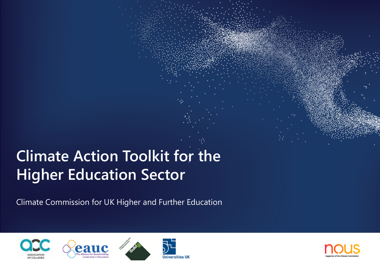# **Climate Action Toolkit for the Higher Education Sector**

Climate Commission for UK Higher and Further Education







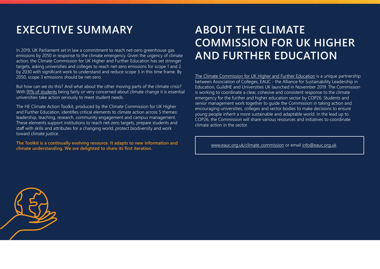# **EXECUTIVE SUMMARY**

In 2019, UK Parliament set in law a commitment to reach net-zero greenhouse gas emissions by 2050 in response to the climate emergency. Given the urgency of climate action, the Climate Commission for UK Higher and Further Education has set stronger targets, asking universities and colleges to reach net-zero emissions for scope 1 and 2 by 2030 with significant work to understand and reduce scope 3 in this time frame. By 2050, scope 3 emissions should be net-zero.

But how can we do this? And what about the other moving parts of the climate crisis? With [91% of students](https://sustainability.nus.org.uk/our-research/our-research-reports/energy-and-climate-change/climate-change-tracker) being fairly or very concerned about climate change it is essential universities take action seriously to meet student needs.

The HE Climate Action Toolkit, produced by the Climate Commission for UK Higher and Further Education, identifies critical elements to climate action across 5 themes: leadership, teaching, research, community engagement and campus management. These elements support institutions to reach net-zero targets, prepare students and staff with skills and attributes for a changing world, protect biodiversity and work toward climate justice.

**The Toolkit is a continually evolving resource. It adapts to new information and climate understanding. We are delighted to share its first iteration.**

# **ABOUT THE CLIMATE COMMISSION FOR UK HIGHER AND FURTHER EDUCATION**

[The Climate Commission for UK Higher and Further Education](http://www.eauc.org.uk/climate_commission) is a unique partnership between Association of Colleges, EAUC - the Alliance for Sustainability Leadership in Education, GuildHE and Universities UK launched in November 2019. The Commission is working to coordinate a clear, cohesive and consistent response to the climate emergency for the further and higher education sector by COP26. Students and senior management work together to guide the Commission in taking action and encouraging universities, colleges and sector bodies to make decisions to ensure young people inherit a more sustainable and adaptable world. In the lead up to COP26, the Commission will share various resources and initiatives to coordinate climate action in the sector.

[www.eauc.org.uk/climate\\_commission](http://www.eauc.org.uk/climate_commission) or email [info@eauc.org.uk](mailto:info@eauc.org.uk )

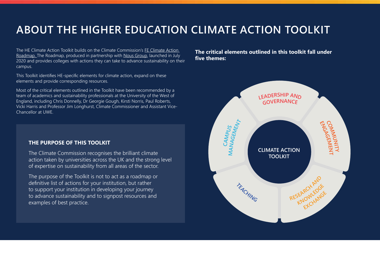# **ABOUT THE HIGHER EDUCATION CLIMATE ACTION TOOLKIT**

[The HE Climate Action Toolkit builds on the Climate Commission's FE Climate Action](http://www.eauc.org.uk/fe_roadmap)  [Roadmap. T](http://www.eauc.org.uk/fe_roadmap)he Roadmap, produced in partnership with [Nous Group,](https://www.nousgroup.com/uk) launched in July 2020 and provides colleges with actions they can take to advance sustainability on their campus.

This Toolkit identifies HE-specific elements for climate action, expand on these elements and provide corresponding resources.

Most of the critical elements outlined in the Toolkit have been recommended by a team of academics and sustainability professionals at the University of the West of England, including Chris Donnelly, Dr Georgie Gough, Kirsti Norris, Paul Roberts, Vicki Harris and Professor Jim Longhurst, Climate Commissioner and Assistant Vice-Chancellor at UWE.

# **THE PURPOSE OF THIS TOOLKIT**

The Climate Commission recognises the brilliant climate action taken by universities across the UK and the strong level of expertise on sustainability from all areas of the sector.

The purpose of the Toolkit is not to act as a roadmap or definitive list of actions for your institution, but rather to support your institution in developing your journey to advance sustainability and to signpost resources and examples of best practice.

**The critical elements outlined in this toolkit fall under five themes:**

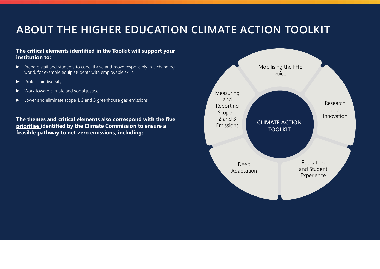# **ABOUT THE HIGHER EDUCATION CLIMATE ACTION TOOLKIT**

# **The critical elements identified in the Toolkit will support your institution to:**

- ► Prepare staff and students to cope, thrive and move responsibly in a changing world, for example equip students with employable skills
- ► Protect biodiversity
- ► Work toward climate and social justice
- ► Lower and eliminate scope 1, 2 and 3 greenhouse gas emissions

**The themes and critical elements also correspond with the five [priorities](https://www.eauc.org.uk/climate_commission#Target%20Statement) identified by the Climate Commission to ensure a feasible pathway to net-zero emissions, including:**

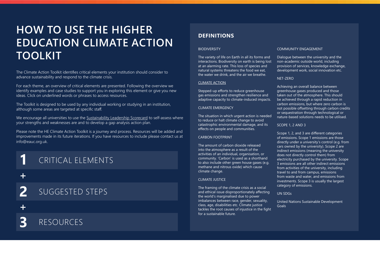# **HOW TO USE THE HIGHER EDUCATION CLIMATE ACTION TOOLKIT**

The Climate Action Toolkit identifies critical elements your institution should consider to advance sustainability and respond to the climate crisis.

For each theme, an overview of critical elements are presented. Following the overview we identify examples and case studies to support you in exploring this element or give you new ideas. Click on underlined words or phrases to access resources.

The Toolkit is designed to be used by any individual working or studying in an institution, although some areas are targeted at specific staff.

We encourage all universities to use the [Sustainability Leadership Scorecard](https://www.eauc.org.uk/sustainability_leadership_scorecard) to self-assess where your strengths and weaknesses are and to develop a gap analysis action plan.

Please note the HE Climate Action Toolkit is a journey and process. Resources will be added and improvements made in its future iterations. If you have resources to include please contact us at info@eauc.org.uk.

# CRITICAL ELEMENTS **1**

**+**

SUGGESTED STEPS

**3**

**2**

# RESOURCES

# **DEFINITIONS**

#### **BIODIVERSITY**

The variety of life on Earth in all its forms and interactions. Biodiversity on earth is being lost at an alarming rate. This loss of species and natural systems threatens the food we eat, the water we drink, and the air we breathe.

#### [CLIMATE ACTION](https://www.sdfinance.undp.org/content/sdfinance/en/home/sdg/goal-13--climate-action.html)

Stepped-up efforts to reduce greenhouse gas emissions and strengthen resilience and adaptive capacity to climate-induced impacts.

#### CLIMATE EMERGENCY

The situation in which urgent action is needed to reduce or halt climate change to avoid catastrophic environmental damage, and its effects on people and communities.

#### CARBON FOOTPRINT

The amount of carbon dioxide released into the atmosphere as a result of the activities of an individual, organisation, or community. 'Carbon' is used as a shorthand to also include other green house gases (e.g. methane and nitrous oxide) which cause climate change.

#### CLIMATE JUSTICE

The framing of the climate crisis as a social and ethical issue disproportionately affecting the world's marginalised due to power imbalances between race, gender, sexuality, class, age, disabilities etc. Climate justice tackles the root causes of injustice in the fight for a sustainable future.

#### COMMUNITY ENGAGEMENT

Dialogue between the university and the non-academic outside world, including provision of services, knowledge exchange, development work, social innovation etc.

#### NET-ZERO

Achieving an overall balance between greenhouse gases produced and those taken out of the atmosphere. This should be achieved through a rapid reduction in carbon emissions, but where zero carbon is not possible offsetting through carbon credits or sequestration through technological or nature-based solutions needs to be utilised.

SCOPE 1, 2 AND 3

Scope 1, 2, and 3 are different categories of emissions. Scope 1 emissions are those directly under a university's control (e.g. from cars owned by the university). Scope 2 are indirect emissions (meaning the university does not directly control them) from electricity purchased by the university. Scope 3 emissions are all other indirect emissions from activities of the university, including travel to and from campus, emissions from waste and water, and emissions from investments. Scope 3 is usually the largest category of emissions.

#### UN SDGs

United Nations Sustainable Development Goals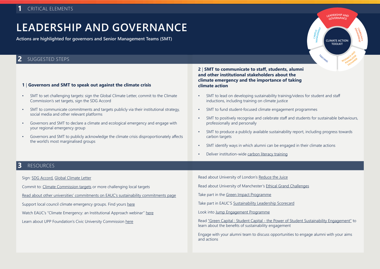# **LEADERSHIP AND GOVERNANCE**

**Actions are highlighted for governors and Senior Management Teams (SMT)**

# **2** SUGGESTED STEPS

### **1** | **Governors and SMT to speak out against the climate crisis**

- SMT to set challenging targets: sign the Global Climate Letter, commit to the Climate Commission's set targets, sign the SDG Accord
- SMT to communicate commitments and targets publicly via their institutional strategy, social media and other relevant platforms
- Governors and SMT to declare a climate and ecological emergency and engage with your regional emergency group
- Governors and SMT to publicly acknowledge the climate crisis disproportionately affects the world's most marginalised groups

### **2** | **SMT to communicate to staff, students, alumni and other institutional stakeholders about the climate emergency and the importance of taking climate action**

- SMT to lead on developing sustainability training/videos for student and staff inductions, including training on climate justice
- SMT to fund student-focused climate engagement programmes
- SMT to positively recognise and celebrate staff and students for sustainable behaviours, professionally and personally

**<sup>L</sup>EADERSHI<sup>P</sup> <sup>A</sup>N<sup>D</sup> GOVERNANC<sup>E</sup>**

**CLIMATE ACTION TOOLKIT**

**<sup>T</sup>EACH<sup>I</sup>N<sup>G</sup>**

**CAMPUS MANAGEMENT**

**COMMUNITY E**<br>ENGAGEM **NT**

**KAPCH RESEARC<sup>H</sup> <sup>A</sup>N<sup>D</sup> EXCHANG<sup>E</sup>**

- SMT to produce a publicly available sustainability report, including progress towards carbon targets
- SMT identify ways in which alumni can be engaged in their climate actions
- Deliver institution-wide [carbon literacy training](https://carbonliteracy.com/)

## **3** RESOURCES

| J INLJUUINULJ                                                                        |                                                                                                                                                    |
|--------------------------------------------------------------------------------------|----------------------------------------------------------------------------------------------------------------------------------------------------|
| Sign: SDG Accord, Global Climate Letter                                              | Read about University of London's Reduce the Juice                                                                                                 |
| Commit to: Climate Commission targets or more challenging local targets              | Read about University of Manchester's Ethical Grand Challenges                                                                                     |
| Read about other universities' commitments on EAUC's sustainability commitments page | Take part in the Green Impact Programme                                                                                                            |
| Support local council climate emergency groups. Find yours here                      | Take part in EAUC'S Sustainability Leadership Scorecard                                                                                            |
| Watch EAUC's "Climate Emergency: an Institutional Approach webinar" here             | Look into Jump Engagement Programme                                                                                                                |
| Learn about UPP Foundation's Civic University Commission here                        | Read "Green Capital: Student Capital - the Power of Student Sustainability Engagement" to<br>learn about the benefits of sustainability engagement |
|                                                                                      | Engage with your alumni team to discuss opportunities to engage alumni with your aims<br>and actions                                               |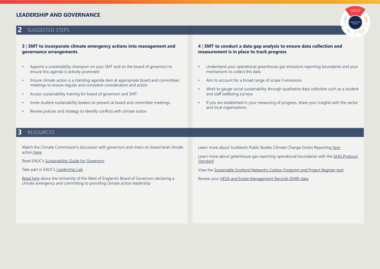# **LEADERSHIP AND GOVERNANCE**

# **2** SUGGESTED STEPS

### **3** | **SMT to incorporate climate emergency actions into management and governance arrangements**

- Appoint a sustainability champion on your SMT and on the board of governors to ensure this agenda is actively promoted
- Ensure climate action is a standing agenda item at appropriate board and committees meetings to ensure regular and consistent consideration and action
- Access sustainability training for board of governors and SMT
- Invite student sustainability leaders to present at board and committee meetings
- Review policies and strategy to identify conflicts with climate action

### **4** | **SMT to conduct a data gap analysis to ensure data collection and measurement is in place to track progress**

- Understand your operational greenhouse gas emissions reporting boundaries and your mechanisms to collect this data
- Aim to account for a broad range of scope 3 emissions
- Work to gauge social sustainability through qualitative data collection such as a student and staff wellbeing surveys
- If you are established in your measuring of progress, share your insights with the sector and local organisations

# **3** RESOURCES

Watch the Climate Commission's discussion with governors and chairs on board level climate actio[n here](https://www.youtube.com/watch?v=OSBRN_et8Nk&t=2024s)

Read EAUC's [Sustainability Guide for Governors](https://www.sustainabilityexchange.ac.uk/a_guide_for_governors)

Take part in EAUC's [Leadership Lab](https://www.eauc.org.uk/next_generation_sustainability_leadership_progr)

[Read here](https://www.uwe.ac.uk/about/values-vision-strategy/sustainability/climate-and-ecological-emergency-declaration) about the University of the West of England's Board of Governors declaring a climate emergency and committing to providing climate action leadership

Learn more about Scotland's Public Bodies Climate Change Duties Reporting [here](https://www.eauc.org.uk/reporting)

Learn more about greenhouse gas reporting operational boundaries with the [GHG Protocol](https://ghgprotocol.org/corporate-standard)  **[Standard](https://ghgprotocol.org/corporate-standard)** 

View the [Sustainable Scotland Network's Carbon Footprint and Project Register tool](https://sustainablescotlandnetwork.org/resources/carbon-footprint-and-project-register-tool)

Review your [HESA and Estate Management Records \(EMR\) data](https://www.hesa.ac.uk/data-and-analysis/estates)

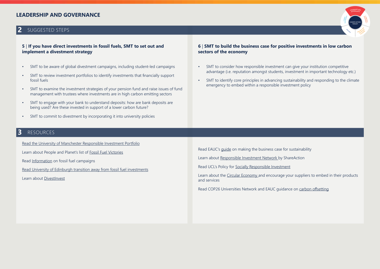# **LEADERSHIP AND GOVERNANCE**

# **2** SUGGESTED STEPS

### **5** | **If you have direct investments in fossil fuels, SMT to set out and implement a divestment strategy**

- SMT to be aware of global divestment campaigns, including student-led campaigns
- SMT to review investment portfolios to identify investments that financially support fossil fuels
- SMT to examine the investment strategies of your pension fund and raise issues of fund management with trustees where investments are in high carbon emitting sectors
- SMT to engage with your bank to understand deposits: how are bank deposits are being used? Are these invested in support of a lower carbon future?
- SMT to commit to divestment by incorporating it into university policies

# **3** RESOURCES

[Read the University of Manchester Responsible Investment Portfolio](https://www.manchester.ac.uk/discover/news/university-of-manchester-to-decarbonise-its-investment-portfolio/)

Learn about People and Planet's list of [Fossil Fuel Victories](https://peopleandplanet.org/fossil-free-victories)

Rea[d Information](https://gofossilfree.org/uk/divestment-guide/) on fossil fuel campaigns

[Read University of Edinburgh transition away from fossil fuel investments](https://www.ed.ac.uk/sustainability/what-we-do/responsible-investment/policy/fossil-fuels-2018)

Learn about [DivestInvest](https://www.divestinvest.org/)

### **6** | **SMT to build the business case for positive investments in low carbon sectors of the economy**

- SMT to consider how responsible investment can give your institution competitive advantage (i.e. reputation amongst students, investment in important technology etc.)
- SMT to identify core principles in advancing sustainability and responding to the climate emergency to embed within a responsible investment policy

Read EAUC's [guide](https://www.sustainabilityexchange.ac.uk/making_the_business_case_for_sustainability) on making the business case for sustainability

Learn about [Responsible Investment Network](https://shareaction.org/coalitions-and-networks/responsible-investment-network-universities/) by ShareAction

Read UCL's Policy for [Socially Responsible Investment](https://www.ucl.ac.uk/sustainable/ethical-investment)

Learn about the [Circular Economy a](https://www.ellenmacarthurfoundation.org/circular-economy/what-is-the-circular-economy)nd encourage your suppliers to embed in their products and services

Read COP26 Universities Network and EAUC guidance on [carbon offsetting](https://www.eauc.org.uk/universities_and_colleges_consider_carbon_offse)

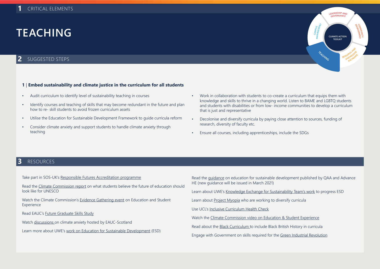# **TEACHING**

# **2** SUGGESTED STEPS

### **1** | **Embed sustainability and climate justice in the curriculum for all students**

- Audit curriculum to identify level of sustainability teaching in courses
- Identify courses and teaching of skills that may become redundant in the future and plan how to re- skill students to avoid frozen curriculum assets
- Utilise the Education for Sustainable Development Framework to guide curricula reform
- Consider climate anxiety and support students to handle climate anxiety through teaching
- Work in collaboration with students to co-create a curriculum that equips them with knowledge and skills to thrive in a changing world. Listen to BAME and LGBTQ students and students with disabilities or from low- income communities to develop a curriculum that is just and representative

**<sup>L</sup>EADERSHI<sup>P</sup> <sup>A</sup>N<sup>D</sup> GOVERNANC<sup>E</sup>**

**CLIMATE ACTION TOOLKI** 

**<sup>T</sup>EACH<sup>I</sup>N<sup>G</sup>**

**CAMPUS MANAGEMENT**

**C**<br>MANA **ITY ENGAGEMNT**

**KAPCH**LLOGE **RESEARC<sup>H</sup> <sup>A</sup>N<sup>D</sup> EXCHANG<sup>E</sup>**

- Decolonise and diversify curricula by paying close attention to sources, funding of research, diversity of faculty etc.
- Ensure all courses, including apprenticeships, include the SDGs

### **3** RESOURCES

Take part in SOS-UK's [Responsible Futures Accreditation programme](https://sustainability.nus.org.uk/responsible-futures/about)

Read the [Climate Commission report](http://www.eauc.org.uk/futures_of_education) on what students believe the future of education should look like for UNESCO

Watch the Climate Commission's [Evidence Gathering event](https://youtu.be/33Z_1FHTMCw) on Education and Student Experience

Read EAUC's [Future Graduate Skills Study](https://www.eauc.org.uk/eauc_launches_future_graduate_skills_study)

Watch [discussions](https://www.sustainabilityexchange.ac.uk/education_for_sustainable_development_october_2) on climate anxiety hosted by EAUC-Scotland

Learn more about UWE's [work on Education for Sustainable Development](https://www.uwe.ac.uk/about/values-vision-strategy/sustainability/education-for-sustainable-development/sustainability-in-our-curriculum-and-pedagogy) (ESD)

Read the [guidance](https://www.qaa.ac.uk/docs/qaa/quality-code/education-sustainable-development-guidance-june-14.pdf?sfvrsn=1c46f981_8) on education for sustainable development published by QAA and Advance HE (new guidance will be issued in March 2021)

Learn about UWE's [Knowledge Exchange for Sustainability Team's work](https://www.heacademy.ac.uk/person/knowledge-exchange-sustainability-education-kese-uwe-bristol) to progress ESD

Learn about [Project Myopia](https://projectmyopia.com/) who are working to diversify curricula

Use UCL's [Inclusive Curriculum Health Check](https://www.sustainabilityexchange.ac.uk/inclusive_curriculum_health_check)

Watch the [Climate Commission video on Education & Student Experience](https://www.youtube.com/watch?v=33Z_1FHTMCw&feature=youtu.be)

Read about the [Black Curriculum t](https://theblackcurriculum.com/)o include Black British History in curricula

Engage with Government on skills required for the [Green Industrial Revolution](https://www.gov.uk/government/publications/the-ten-point-plan-for-a-green-industrial-revolution/title)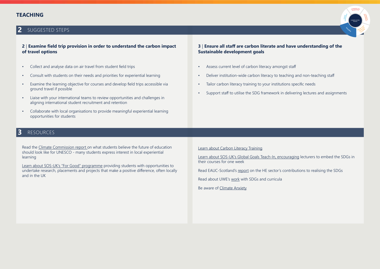# **TEACHING**





### **2** | **Examine field trip provision in order to understand the carbon impact of travel options**

- Collect and analyse data on air travel from student field trips
- Consult with students on their needs and priorities for experiential learning
- Examine the learning objective for courses and develop field trips accessible via ground travel if possible
- Liaise with your international teams to review opportunities and challenges in aligning international student recruitment and retention
- Collaborate with local organisations to provide meaningful experiential learning opportunities for students

### **3** | **Ensure all staff are carbon literate and have understanding of the Sustainable development goals**

- Assess current level of carbon literacy amongst staff
- Deliver institution-wide carbon literacy to teaching and non-teaching staff
- Tailor carbon literacy training to your institutions specific needs
- Support staff to utilise the SDG framework in delivering lectures and assignments

# **3** RESOURCES

Read the [Climate Commission report](http://www.eauc.org.uk/futures_of_education) on what students believe the future of education should look like for UNESCO - many students express interest in local experiential learning

[Learn about SOS-UK's "For Good" programme](https://forgood.nus.org.uk/) providing students with opportunities to undertake research, placements and projects that make a positive difference, often locally and in the UK

[Learn about Carbon Literacy Training](https://www.eauc.org.uk/carbon_literacy_training3)

[Learn about SOS-UK's Global Goals Teach-In, encouraging](https://sustainability.nus.org.uk/sdgteachin) lecturers to embed the SDGs in their courses for one week

Read EAUC-Scotland's [report](https://www.sustainabilityexchange.ac.uk/sdgs_and_the_uk_higher_education_sector) on the HE sector's contributions to realising the SDGs

Read about UWE's [work](https://www.uwe.ac.uk/about/values-vision-strategy/sustainability/strategy-leadership-and-plans/policy-and-strategy-documents) with SDGs and curricula

Be aware of [Climate Anxiety](https://www.bbc.co.uk/bbcthree/article/b2e7ee32-ad28-4ec4-89aa-a8b8c98f95a5)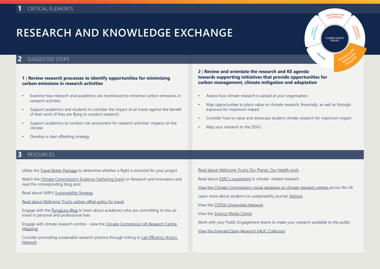# **RESEARCH AND KNOWLEDGE EXCHANGE**

# **2** SUGGESTED STEPS

### **1** | **Review research processes to identify opportunities for minimising carbon emissions in research activities**

- Examine how research and academics are incentivised to minimise carbon emissions in research activities
- Support academics and students to consider the impact of air travel against the benefit of their work (if they are flying to conduct research)
- Support academics to conduct risk assessment for research activities' impacts on the climate
- Develop a clear offsetting strategy

### **2** | **Review and orientate the research and KE agenda towards supporting initiatives that provide opportunities for carbon management, climate mitigation and adaptation**

- Assess how climate research is valued at your organisation
- Map opportunities to place value on climate research, financially, as well as through exposure for maximum impact

**<sup>L</sup>EADERSHI<sup>P</sup> <sup>A</sup>N<sup>D</sup> GOVERNANC<sup>E</sup>**

**CLIMATE ACTION TOOLKIT**

**<sup>T</sup>EACH<sup>I</sup>N<sup>G</sup>**

**CAMPUS MANAGEMENT**

**C**<br>MANA **ITY E**<br>Exercise **ENT**

EARCHILEOGE **RESEARCH AND** EXCHANGE

- Consider how to value and showcase student climate research for maximum impact
- Map your research to the SDG's

### **3** RESOURCES

Utilise the [Travel Better Package t](https://www.sustainabilityexchange.ac.uk/travel_better_package)o determine whether a flight is essential for your project

Watch the [Climate Commission's Evidence Gathering Event](https://www.youtube.com/watch?v=rC4Iqc0bdn0) on Research and Innovation and read the corresponding blog post

Read about UKRI's [Sustainability Strategy](https://www.ukri.org/about-us/policies-standards-and-data/environmental-sustainability/ )

[Read about Wellcome Trust's carbon offset policy for travel](https://wellcome.org/grant-funding/carbon-offset-policy-travel)

Engage with the [FlyingLess Blog](https://academicflyingblog.wordpress.com/) to learn about academics who are committing to less air travel in personal and professional lives

Engage with climate research centres - view the [Climate Commission UK Research Centre](https://www.eauc.org.uk/climate_commission_uk_research_centre_mapping)  [Mapping](https://www.eauc.org.uk/climate_commission_uk_research_centre_mapping)

Consider promoting sustainable research practice through linking to [Lab Efficiency Action](https://www.bristol.ac.uk/green/get-involved/green-labs/lean/)  [Network](https://www.bristol.ac.uk/green/get-involved/green-labs/lean/)

[Read about Wellcome Trust's Our Planet, Our Health work](https://wellcome.org/what-we-do/our-work/our-planet-our-health#main) Read about [ESRC's investment](https://esrc.ukri.org/about-us/strategy-and-priorities/climate-change/) in climate- related research [View the Climate Commission's visual database on climate research centres](https://public.tableau.com/profile/alexandra.tieghi#!/vizhome/MapforSurvey_2/Sheet1) across the UK Learn more about student-run sustainability journal, [Meliora](https://meliora.soton.ac.uk/) View the [COP26 Universities Network](https://www.gla.ac.uk/research/cop26/) View the [Science Media Centre](https://www.sciencemediacentre.org/) Work with your Public Engagement teams to make your research available to the public [View the Emerald Open Research EAUC Collection](https://emeraldopenresearch.com/collections/eauc)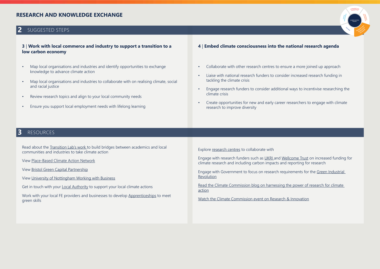# **RESEARCH AND KNOWLEDGE EXCHANGE**

# **2** SUGGESTED STEPS

### **3** | **Work with local commerce and industry to support a transition to a low carbon economy**

- Map local organisations and industries and identify opportunities to exchange knowledge to advance climate action
- Map local organisations and industries to collaborate with on realising climate, social and racial justice
- Review research topics and align to your local community needs
- Ensure you support local employment needs with lifelong learning
- **4** | **Embed climate consciousness into the national research agenda**
- Collaborate with other research centres to ensure a more joined up approach
- Liaise with national research funders to consider increased research funding in tackling the climate crisis
- Engage research funders to consider additional ways to incentivise researching the climate crisis
- Create opportunities for new and early career researchers to engage with climate research to improve diversity

# **3** RESOURCES

Read about the [Transition Lab's work](https://www.transitionlab.earth/) to build bridges between academics and local communities and industries to take climate action

View [Place-Based Climate Action Network](https://www.pcancities.org.uk/)

View [Bristol Green Capital Partnership](https://bristolgreencapital.org/)

View [University of Nottingham Working with Business](https://www.nottingham.ac.uk/workingwithbusiness/)

Get in touch with your [Local Authority](https://www.climateemergency.uk/blog/list-of-councils/) to support your local climate actions

Work with your local FE providers and businesses to develop [Apprenticeships](https://www.apprenticeships.gov.uk/) to meet green skills

Explore [research centres t](https://www.eauc.org.uk/climate_commission_uk_research_centre_mapping)o collaborate with

Engage with research funders such as [UKRI a](https://www.ukri.org/)nd [Wellcome Trust](https://wellcome.org/) on increased funding for climate research and including carbon impacts and reporting for research

Engage with Government to focus on research requirements for the [Green Industrial](https://www.gov.uk/government/publications/the-ten-point-plan-for-a-green-industrial-revolution/title)  [Revolution](https://www.gov.uk/government/publications/the-ten-point-plan-for-a-green-industrial-revolution/title)

Read the Climate Commission blog on harnessing the power of research for climate [action](https://www.eauc.org.uk/7175)

[Watch the Climate Commission event on Research & Innovation](https://www.youtube.com/watch?v=rC4Iqc0bdn0)

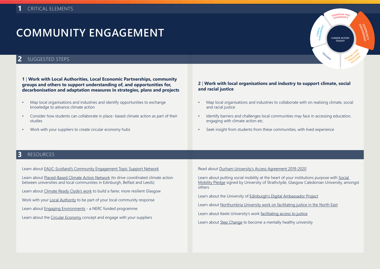# **COMMUNITY ENGAGEMENT**

# **2** SUGGESTED STEPS

**1** | **Work with Local Authorities, Local Economic Partnerships, community groups and others to support understanding of, and opportunities for, decarbonisation and adaptation measures in strategies, plans and projects**

- Map local organisations and industries and identify opportunities to exchange knowledge to advance climate action
- Consider how students can collaborate in place- based climate action as part of their studies
- Work with your suppliers to create circular economy hubs

### **2** | **Work with local organisations and industry to support climate, social and racial justice**

**<sup>L</sup>EADERSHI<sup>P</sup> <sup>A</sup>N<sup>D</sup> GOVERNANC<sup>E</sup>**

**CLIMATE ACTION TOOLKIT**

**<sup>T</sup>EACH<sup>I</sup>N<sup>G</sup>**

**CAMPUS MANAGEMENT**

**COMMUNITY**

**E**<br>EPIGAGEM **ENT**

**KAPCH**<br>EARCHIEDGE **RESEARC<sup>H</sup> <sup>A</sup>N<sup>D</sup> EXCHANG<sup>E</sup>**

- Map local organisations and industries to collaborate with on realising climate, social and racial justice
- Identify barriers and challenges local communities may face in accessing education, engaging with climate action etc.
- Seek insight from students from these communities, with lived experience

### **3** RESOURCES

[Learn about EAUC-Scotland's Community Engagement Topic Support Network](https://www.eauc.org.uk/community_engagement) Learn about [Placed-Based Climate Action Network](https://pcancities.org.uk/) (to drive coordinated climate action between universities and local communities in Edinburgh, Belfast and Leeds) Learn about [Climate Ready Clyde's work](http://climatereadyclyde.org.uk/) to build a fairer, more resilient Glasgow Work with your [Local Authority](https://www.climateemergency.uk/blog/list-of-councils/) to be part of your local community response Learn about [Engaging Environments](https://www.publicengagement.ac.uk/sites/default/files/publication/engaging_environments_lessons_booklet.pdf) - a NERC funded programme Learn about the [Circular Economy](https://www.ellenmacarthurfoundation.org/circular-economy/concept) concept and engage with your suppliers

Read about [Durham University's Access Agreement 2019-2020](https://www.dur.ac.uk/study/ug/apply/policy/fairaccess/)

Learn about putting social mobility at the heart of your institutions purpose with [Social](https://www.socialmobilitypledge.org/about)  [Mobility Pledge](https://www.socialmobilitypledge.org/about) signed by University of Strathclyde, Glasgow Caledonian University, amongst others

Learn about the University of [Edinburgh's Digital Ambassador Project](https://www.ed.ac.uk/local/projects/digital-ambassador)

Learn about [Northumbria University work on facilitating justice in the North East](https://www.sustainabilityexchange.ac.uk/green_gown_awards_2019_northumbria_university_f)

Learn about Keele University's work [facilitating access to justice](https://www.sustainabilityexchange.ac.uk/green_gown_awards_2019_keele_university_finalis)

Learn about [Step Change](https://www.sustainabilityexchange.ac.uk/stepchange_mentally_healthy_universities) to become a mentally healthy university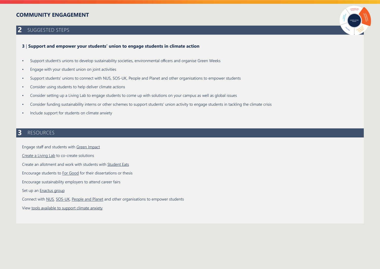# **COMMUNITY ENGAGEMENT**

# **2** SUGGESTED STEPS

### **3** | **Support and empower your students' union to engage students in climate action**

- Support student's unions to develop sustainability societies, environmental officers and organise Green Weeks
- Engage with your student union on joint activities
- Support students' unions to connect with NUS, SOS-UK, People and Planet and other organisations to empower students
- Consider using students to help deliver climate actions
- Consider setting up a Living Lab to engage students to come up with solutions on your campus as well as global issues
- Consider funding sustainability interns or other schemes to support students' union activity to engage students in tackling the climate crisis
- Include support for students on climate anxiety

# **3** RESOURCES

Engage staff and students with [Green Impact](http://greenimpact.nus.org.uk/)

[Create a Living Lab](https://www.sustainabilityexchange.ac.uk/living_labs) to co-create solutions

Create an allotment and work with students with [Student Eats](https://sustainability.nus.org.uk/student-eats)

Encourage students to [For Good](https://forgood.nus.org.uk/) for their dissertations or thesis

Encourage sustainability employers to attend career fairs

Set up an **Enactus** group

Connect with [NUS](https://www.nus.org.uk/), [SOS-UK](https://sustainability.nus.org.uk/), [People and Planet](https://peopleandplanet.org/) and other organisations to empower students

View [tools available to support climate anxiety](https://www.climatepsychologyalliance.org/)

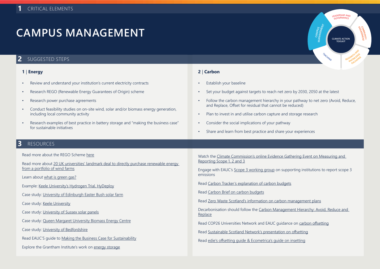## **2** SUGGESTED STEPS

- Review and understand your institution's current electricity contracts
- Research REGO (Renewable Energy Guarantees of Origin) scheme
- Research power purchase agreements
- Conduct feasibility studies on on-site wind, solar and/or biomass energy generation, including local community activity
- Research examples of best practice in battery storage and "making the business case" for sustainable initiatives

### **1** | **Energy 2** | **Carbon**

- Establish your baseline
- Set your budget against targets to reach net zero by 2030, 2050 at the latest
- Follow the carbon management hierarchy in your pathway to net zero (Avoid, Reduce, and Replace, Offset for residual that cannot be reduced)

**<sup>L</sup>EADERSHI<sup>P</sup> <sup>A</sup>N<sup>D</sup> GOVERNANC<sup>E</sup>**

**CLIMATE ACTION TOOLKIT**

**<sup>T</sup>EACH<sup>I</sup>N<sup>G</sup>**

**CAMPUS MANAGEMENT**

**COMMUNITY ENGAGEMNT**

**KAPCH**OOR **RESEARCH AND EXCHANG<sup>E</sup>**

- Plan to invest in and utilise carbon capture and storage research
- Consider the social implications of your pathway
- Share and learn from best practice and share your experiences

### **3** RESOURCES

Read more about the REGO Scheme [here](https://www.ofgem.gov.uk/environmental-programmes/rego/about-rego-scheme)

Read more about [20 UK universities' landmark deal to directly purchase renewable energy](https://www.eauc.org.uk/universities_respond_to_the_net_zero_carb )  [from a portfolio of wind farms](https://www.eauc.org.uk/universities_respond_to_the_net_zero_carb )

Learn about [what is green gas?](https://www.greengas.org.uk/green-gas)

Example: [Keele University's Hydrogen Trial, HyDeploy](https://hydeploy.co.uk/)

Case study: [University of Edinburgh Easter Bush solar farm](https://www.ed.ac.uk/vet/news-events/news-and-archive/2020-news/solar-farm)

Case study: [Keele University](https://www.keele.ac.uk/discover/news/2019/september/universityinvestsincampusrenewablestoreducecarbonfootprint/renewable-energy-source.php)

Case study: [University of Sussex solar panels](https://www.sussex.ac.uk/about/sustainable-university/energy)

Case study: [Queen Margaret University Biomass Energy Centre](https://studylib.net/doc/6766850/queen-margaret-university--biomass-wood-chip-heating)

Case study: [University of Bedfordshire](https://www.beds.ac.uk/sustainability/about/renewable-energy/)

Read EAUC'S guide to [Making the Business Case for Sustainability](https://www.sustainabilityexchange.ac.uk/making_the_business_case_for_sustainability)

Explore the Grantham Institute's work on [energy storage](https://www.imperial.ac.uk/grantham/research/energy-and-low-carbon-futures/energy-storage/)

Watch the [Climate Commission's online Evidence Gathering Event on Measuring and](https://www.youtube.com/watch?v=PBcUF8GemFc)  [Reporting Scope 1, 2 and 3](https://www.youtube.com/watch?v=PBcUF8GemFc)

Engage with EAUC's [Scope 3 working group](https://www.eauc.org.uk/scope_3_working_group) on supporting institutions to report scope 3 emissions

Read [Carbon Tracker's explanation of carbon budgets](https://carbontracker.org/carbon-budgets-explained/)

Read [Carbon Brief on carbon budgets](https://www.carbonbrief.org/analysis-why-the-ipcc-1-5c-report-expanded-the-carbon-budget)

Read [Zero Waste Scotland's information on carbon management plans](https://www.zerowastescotland.org.uk/save-energy-reduce-waste/carbon-management-plans)

Decarbonisation should follow the [Carbon Management Hierarchy: Avoid, Reduce and](https://www.semanticscholar.org/paper/Bristol-urban-integrated-diagnostics-project.-theme-Prestwood-Townsend/4d006ce78ab48fcdf0168845aa4ef5a9d607ca5b/figure/0)  [Replace](https://www.semanticscholar.org/paper/Bristol-urban-integrated-diagnostics-project.-theme-Prestwood-Townsend/4d006ce78ab48fcdf0168845aa4ef5a9d607ca5b/figure/0)

Read COP26 Universities Network and EAUC guidance on [carbon offsetting](https://www.eauc.org.uk/universities_and_colleges_consider_carbon_offse)

Read [Sustainable Scotland Network's presentation on offsetting](https://sustainablescotlandnetwork.org/uploads/store/mediaupload/1194/file/SSN Offsetting Workshop - Slides 22.01.2020 (Master - V2).pdf)

Read [edie's offsetting guide & Ecometrica's guide on insetting](https://ecometrica.com/assets/insetting_offsetting_technical.pdf)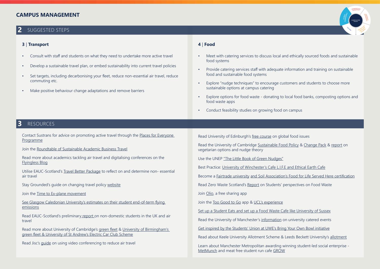## **2** SUGGESTED STEPS

### **3** | **Transport 4** | **Food**

- Consult with staff and students on what they need to undertake more active travel
- Develop a sustainable travel plan, or embed sustainability into current travel policies
- Set targets, including decarbonising your fleet, reduce non-essential air travel, reduce commuting etc.
- Make positive behaviour change adaptations and remove barriers

- Meet with catering services to discuss local and ethically sourced foods and sustainable food systems
- Provide catering services staff with adequate information and training on sustainable food and sustainable food systems
- Explore "nudge techniques" to encourage customers and students to choose more sustainable options at campus catering
- Explore options for food waste donating to local food banks, composting options and food waste apps
- Conduct feasibility studies on growing food on campus

# **3** RESOURCES

Contact Sustrans for advice on promoting active travel through the [Places for Everyone](https://www.sustrans.org.uk/our-blog/projects/2019/scotland/places-for-everyone)  [Programme](https://www.sustrans.org.uk/our-blog/projects/2019/scotland/places-for-everyone)

Join the [Roundtable of Sustainable Academic Business Travel](https://businesstravelroundtable.ac/about#%3A~%3Atext%3DThe%20goals%20of%20the%20Roundtable%2Cin%20the%20higher%20education%20sector%26text%3Dreduce%20carbon%20emissions%20related%20to%20business%20travel%20in%20the%20higher%20education%20sector)

Read more about academics tackling air travel and digitalising conferences on the [Flyingless Blog](https://academicflyingblog.wordpress.com/)

Utilise EAUC-Scotland's [Travel Better Package](https://www.sustainabilityexchange.ac.uk/travel_better_package) to reflect on and determine non- essential air travel

Stay Grounded's guide on changing travel policy [website](https://stay-grounded.org/organisations/change-travel-policy/)

Join the [Time to Ex-plane movement](https://www.timetoexplane.com/)

[See Glasgow Caledonian University's estimates on their student end-of-term flying](https://www.gcu.ac.uk/media/gcalwebv2/theuniversity/centresprojects/sustainability/reports/CFP_2018_19_Report_30Jan2030.pdf)  [emissions](https://www.gcu.ac.uk/media/gcalwebv2/theuniversity/centresprojects/sustainability/reports/CFP_2018_19_Report_30Jan2030.pdf)

Read EAUC-Scotland's preliminary [report](https://www.sustainabilityexchange.ac.uk/internationalisation_and_air_travel_opportuniti) on non-domestic students in the UK and air travel

Read more about University of Cambridge's [green fleet](https://greenfleet.net/features/09112016/fleet-interview-university-cambridge) & [University of Birmingham's](https://www.birmingham.ac.uk/university/about/environment/environmental-responsibility.aspx )  [green fleet & University of St Andrew's Electric Car Club Scheme](https://www.birmingham.ac.uk/university/about/environment/environmental-responsibility.aspx )

Read Jisc's [guide](https://www.sustainabilityexchange.ac.uk/jisc-guide-using-videoconferencing-and-collaborati) on using video conferencing to reduce air travel

Read University of Edinburgh's [free course](https://www.edx.org/course/sustainable-global-food-systems?utm_source=twitter-1-sustainableglobalfoodsystems-1&utm_medium=marketing&utm_campaign=edinburghx) on global food issues

Read the University of Cambridge [Sustainable Food Policy](https://www.environment.admin.cam.ac.uk/sustainable-food/university-cambridges-sustainable-food-policy) & [Change Pack](https://static1.squarespace.com/static/5b1befbdda02bc2159e58aef/t/5c94ec10085229d4d73ca73f/1553263678657/Change+Pack.pdf) & [report](https://www.phpc.cam.ac.uk/pcu/veg-nudge-extra-vegetarian-option-reduces-meat-consumption-without-denting-food-sales/) on vegetarian options and nudge theory

Use the UNEP ["The Little Book of Green Nudges"](https://www.unenvironment.org/resources/publication/little-book-green-nudges)

Best Practice: University of Winchester's [Cafe L.I.F.E and Ethical Earth Cafe](https://www.winchester.ac.uk/about-us/venue-hire-and-facilities/food-on-campus/)

Become a [Fairtrade university](https://www.foodforlife.org.uk/catering/food-for-life-served-here) [and Soil Association's Food for Life Served Here certification](https://www.foodforlife.org.uk/catering/food-for-life-served-here)

Read Zero Waste Scotland's [Report](https://www.zerowastescotland.org.uk/sites/default/files/Food Waste - A Student Perspective.pdf) on Students' perspectives on Food Waste

Join [Olio,](https://olioex.com/) a free sharing app

Join the [Too Good to Go](https://toogoodtogo.org/en/) app & [UCL's experience](https://www.ucl.ac.uk/sustainable/news/2019/jul/too-good-go-waste)

[Set up a Student Eats and set up a Food Waste Cafe like University of Sussex](https://www.facebook.com/foodwastecafesussex/)

Read the University of Manchester's [information](http://www.sustainability.manchester.ac.uk/waste/food/) on university catered events

[Get inspired by the Students' Union at UWE's Bring Your Own Bowl initiative](https://www.thestudentsunion.co.uk/community/green-team/projects/byob/)

Read about Keele University Allotment Scheme & Leeds Beckett University's [allotment](https://www.leedsbeckett.ac.uk/pgonlineopenday/sitecore/content/blogs/home/student-blog-squad/2020/04/my-university-highlight-gardening/)

Learn about Manchester Metropolitan awarding winning student-led social enterprise - [MetMunch](https://metmunch.com/) and meat free student run cafe [GROW](https://growmeatfree.com/)

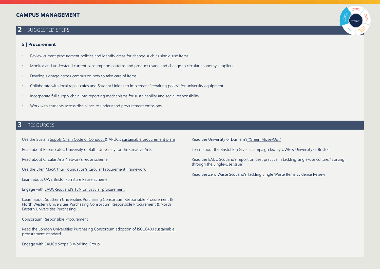## **2** SUGGESTED STEPS

#### **5** | **Procurement**

- Review current procurement policies and identify areas for change such as single-use items
- Monitor and understand current consumption patterns and product usage and change to circular economy suppliers
- Develop signage across campus on how to take care of items
- Collaborate with local repair cafes and Student Unions to implement "repairing policy" for university equipment
- Incorporate full supply chain into reporting mechanisms for sustainability and social responsibility
- Work with students across disciplines to understand procurement emissions

# **3** RESOURCES

Use the Sustain [Supply Chain Code of Conduct &](https://www.sustainabilityexchange.ac.uk/sustain_supply_chain_code_of_conduct) APUC's [sustainable procurement plans](https://www.apuc-scot.ac.uk/#!/sustain.php)

[Read about Repair cafes: University of Bath, University for the Creative Arts](https://www.uca.ac.uk/news/uca-hosts-repair-cafe-conference/)

Read about [Circular Arts Network's reuse scheme](https://www.canarts.org.uk/?utm_source=Sculpture%2BPlacement%2BGroup&utm_campaign=2c7b35a3ae-EMAIL_CAMPAIGN_2020_08_30_03_07&utm_medium=email&utm_term=0_19c97abf07-2c7b35a3ae-)

[Use the Ellen MacArthur Foundation's Circular Procurement Framework](https://emf.gitbook.io/circular-procurement/-MB3yM1RMC1i8iNc-VYj/)

Learn about UWE [Bristol Furniture Reuse Scheme](https://www.uwe.ac.uk/about/values-vision-strategy/sustainability/reduce-reuse-recycle#a11b3a72a-2d7c-4427-884a-9ae5e5c2412a)

Engage with [EAUC-Scotland's TSN on circular procurement](https://www.sustainabilityexchange.ac.uk/sustainable_procurement_topic_support_network_m1)

L:earn about Southern Universities Purchasing Consortium [Responsible Procurement](http://www.supc.ac.uk/responsible-procurement/) & [North Western Universities Purchasing Consortium Responsible Procurement](https://www.nwupc.ac.uk/responsible-procurement) & [North](http://www.neupc.ac.uk/responsible-procurement)  [Eastern Universities Purchasing](http://www.neupc.ac.uk/responsible-procurement)

Consortium [Responsible Procurement](http://www.neupc.ac.uk/responsible-procurement)

Read the London Universities Purchasing Consortium adoption of [ISO20400 sustainable](https://www.lupc.ac.uk/news/lupc-excel-iso20400-sustainable-procurement-standard)  [procurement standard](https://www.lupc.ac.uk/news/lupc-excel-iso20400-sustainable-procurement-standard)

Engage with EAUC's [Scope 3 Working Group](https://www.eauc.org.uk/scope_3_working_group)

Read the University of Durham's ["Green Move-Out"](https://www.dur.ac.uk/greenspace/greenmoveout/)

Learn about the [Bristol Big Give](https://www.thestudentsunion.co.uk/news/article/thesuatuwe/Bristol-Big-Give-2019/), a campaign led by UWE & University of Bristol

Read the EAUC Scotland's report on best practice in tackling single-use culture, ["Sorting](https://www.sustainabilityexchange.ac.uk/sorting_through_the_single-use_problem)  [through the Single-Use Issue"](https://www.sustainabilityexchange.ac.uk/sorting_through_the_single-use_problem)

Read the [Zero Waste Scotland's Tackling Single Waste Items Evidence Review](https://www.sustainabilityexchange.ac.uk/an_evidence_review_tackling_single_waste_items_)

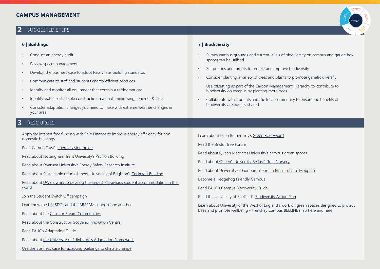# **2** SUGGESTED STEPS

- Conduct an energy audit
- Review space management
- Develop the business case to adopt [Passivhaus building standards](https://www.passivhaustrust.org.uk/)
- Communicate to staff and students energy efficient practices
- Identify and monitor all equipment that contain a refrigerant gas
- Identify viable sustainable construction materials minimising concrete & steel
- Consider adaptation changes you need to make with extreme weather changes in your area

# **3** RESOURCES

Apply for interest-free funding with [Salix Finance](https://www.salixfinance.co.uk/PSDS) to improve energy efficiency for nondomestic buildings

Read Carbon Trust's [energy saving guide](https://www.carbontrust.com/resources/better-business-guide-to-energy-saving)

Read about [Nottingham Trent University's Pavilion Building](https://www.sustainabilityexchange.ac.uk/green_gown_awards_2016_built_environment_nottin)

Read about [Swansea University's Energy Safety Research Institute](https://www.sustainabilityexchange.ac.uk/green_gown_awards_2016_built_environment_swanse)

Read about Sustainable refurbishment: University of Brighton's [Cockcroft Building](https://www.sustainabilityexchange.ac.uk/green_gown_awards_2016_built_environment_univer1)

Read about [UWE'S work to develop the largest Passivhaus student accommodation in the](https://www.passivhaustrust.org.uk/news/detail/?nId=920)  [world](https://www.passivhaustrust.org.uk/news/detail/?nId=920)

Join the Student [Switch Off campaign](https://studentswitchoff.org/)

Learn how the [UN SDGs and the BREEAM](https://www.sustainabilityexchange.ac.uk/un_sustainable_development_goals_and_the_breeam) support one another

Read about the [Case for Bream Communities](https://www.sustainabilityexchange.ac.uk/the_case_for_breeam_communities)

Read about [the Construction Scotland Innovation Centre](https://www.cs-ic.org/events/)

Read EAUC's [Adaptation Guide](https://www.sustainabilityexchange.ac.uk/adaptation)

Read about [the University of Edinburgh's Adaptation Framework](https://www.ed.ac.uk/sustainability/news/2019/adaptation-framework)

[Use the Business case for adapting buildings to climate change](https://www.arcc-network.org.uk/wp-content/D4FC/BusinessCaseForAdaptingBuildings.pdf)

### **6** | **Buildings 7** | **Biodiversity**

- Survey campus grounds and current levels of biodiversity on campus and gauge how spaces can be utilised
- Set policies and targets to protect and improve biodiversity
- Consider planting a variety of trees and plants to promote genetic diversity
- Use offsetting as part of the Carbon Management Hierarchy to contribute to biodiversity on campus by planting more trees
- Collaborate with students and the local community to ensure the benefits of biodiversity are equally shared

Learn about Keep Britain Tidy's [Green Flag Award](http://www.greenflagaward.org.uk/)

Read the [Bristol Tree Forum](https://bristoltreeforum.org/)

Read about Queen Margaret University's [campus green spaces](https://www.qmu.ac.uk/about-the-university/sustainability/)

Read about [Queen's University Belfast's Tree Nursery](https://www.qub.ac.uk/sites/StaffGateway/News/QueensUniversitypartnerswithlocalresidentstocreatetreenursery.html)

Read about University of Edinburgh's [Green Infrastructure Mapping](https://www.ed.ac.uk/sustainability/what-we-do/climate-change/initiatives/adaptation-framework/green-infrastructure-mapping)

Become a [Hedgehog Friendly Campus](https://sustainability.nus.org.uk/our-work/take-part/green-impact/hedgehog-friendly-campus)

Read EAUC's [Campus Biodiversity Guide](https://www.sustainabilityexchange.ac.uk/eauc_biodiversity_guide)

Read the University of Sheffield's [Biodiversity Action Plan](https://drive.google.com/file/d/1wVwIEFqKNr-nE5R4vlGxsIbw2N93Qwgd/view)

Learn about University of the West of England's work on green spaces designed to protect bees and promote wellbeing - [Frenchay Campus BEELINE map here](https://www2.uwe.ac.uk/services/Marketing/about-us/pdf/Sustainability documents/UWE-beeline-map.pdf) and [here](https://www.sustainabilityexchange.ac.uk/green_gown_awards_2019_university_of_the_west_o)